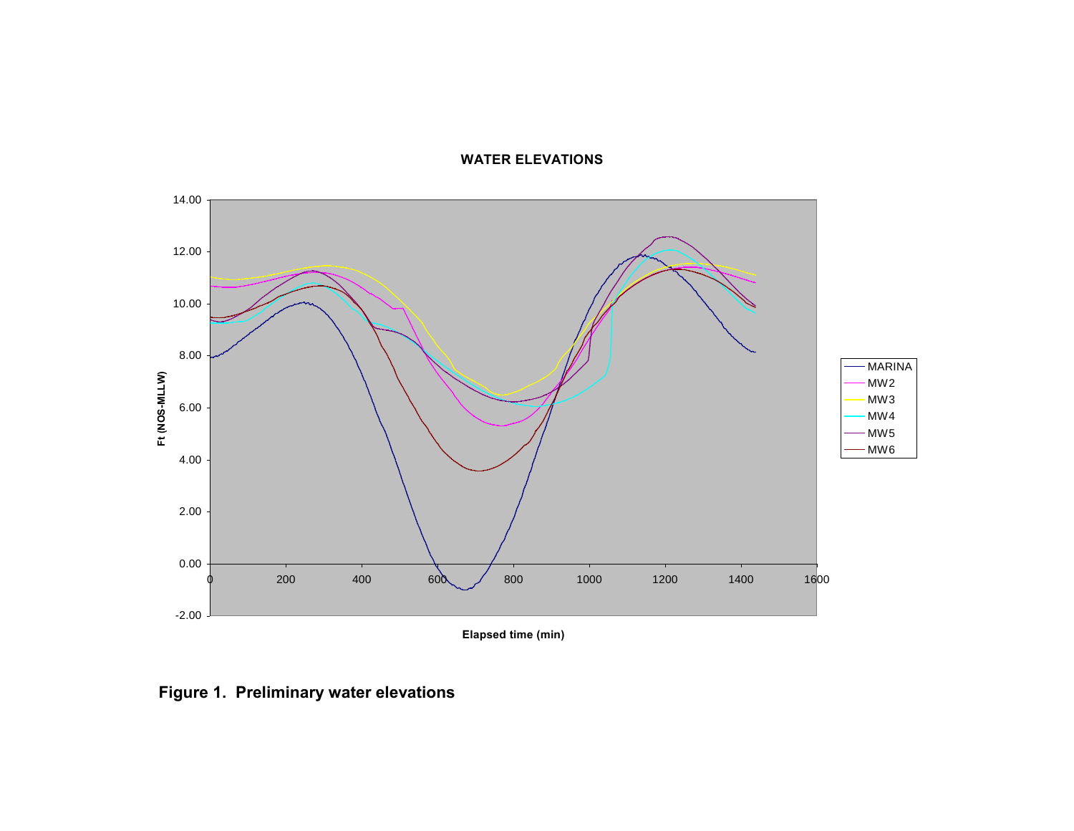#### **WATER ELEVATIONS**



**Elapsed time (min)**

**Figure 1. Preliminary water elevations**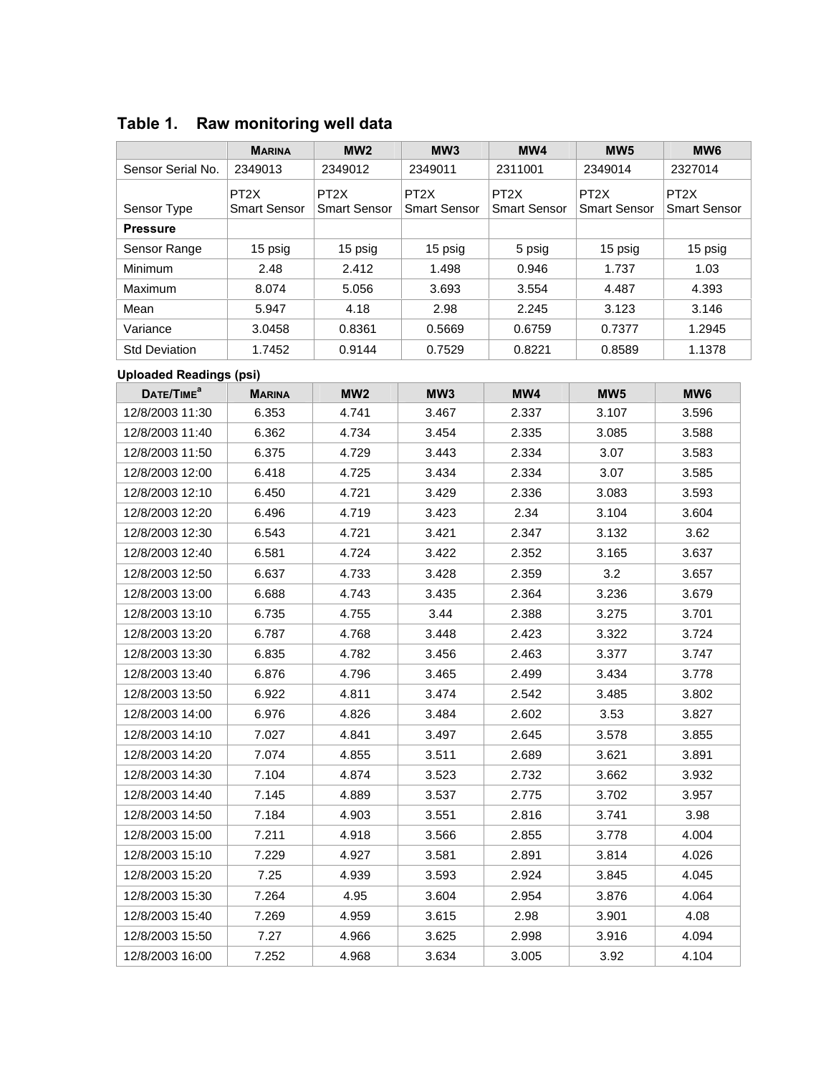|                                | <b>MARINA</b>                            | MW <sub>2</sub>                          | MW <sub>3</sub>                          | MW4                                      | MW <sub>5</sub>                          | MW <sub>6</sub>                          |
|--------------------------------|------------------------------------------|------------------------------------------|------------------------------------------|------------------------------------------|------------------------------------------|------------------------------------------|
| Sensor Serial No.              | 2349013                                  | 2349012                                  | 2349011                                  | 2311001                                  | 2349014                                  | 2327014                                  |
| Sensor Type                    | PT <sub>2</sub> X<br><b>Smart Sensor</b> | PT <sub>2</sub> X<br><b>Smart Sensor</b> | PT <sub>2</sub> X<br><b>Smart Sensor</b> | PT <sub>2</sub> X<br><b>Smart Sensor</b> | PT <sub>2</sub> X<br><b>Smart Sensor</b> | PT <sub>2</sub> X<br><b>Smart Sensor</b> |
| <b>Pressure</b>                |                                          |                                          |                                          |                                          |                                          |                                          |
| Sensor Range                   | 15 psig                                  | 15 psig                                  | 15 psig                                  | 5 psig                                   | 15 psig                                  | 15 psig                                  |
| Minimum                        | 2.48                                     | 2.412                                    | 1.498                                    | 0.946                                    | 1.737                                    | 1.03                                     |
| Maximum                        | 8.074                                    | 5.056                                    | 3.693                                    | 3.554                                    | 4.487                                    | 4.393                                    |
| Mean                           | 5.947                                    | 4.18                                     | 2.98                                     | 2.245                                    | 3.123                                    | 3.146                                    |
| Variance                       | 3.0458                                   | 0.8361                                   | 0.5669                                   | 0.6759                                   | 0.7377                                   | 1.2945                                   |
| <b>Std Deviation</b>           | 1.7452                                   | 0.9144                                   | 0.7529                                   | 0.8221                                   | 0.8589                                   | 1.1378                                   |
| <b>Uploaded Readings (psi)</b> |                                          |                                          |                                          |                                          |                                          |                                          |
| DATE/TIME <sup>a</sup>         | <b>MARINA</b>                            | MW <sub>2</sub>                          | MW3                                      | MW4                                      | MW <sub>5</sub>                          | MW <sub>6</sub>                          |
| 12/8/2003 11:30                | 6.353                                    | 4.741                                    | 3.467                                    | 2.337                                    | 3.107                                    | 3.596                                    |
| 12/8/2003 11:40                | 6.362                                    | 4.734                                    | 3.454                                    | 2.335                                    | 3.085                                    | 3.588                                    |
| 12/8/2003 11:50                | 6.375                                    | 4.729                                    | 3.443                                    | 2.334                                    | 3.07                                     | 3.583                                    |
| 12/8/2003 12:00                | 6.418                                    | 4.725                                    | 3.434                                    | 2.334                                    | 3.07                                     | 3.585                                    |
| 12/8/2003 12:10                | 6.450                                    | 4.721                                    | 3.429                                    | 2.336                                    | 3.083                                    | 3.593                                    |
| 12/8/2003 12:20                | 6.496                                    | 4.719                                    | 3.423                                    | 2.34                                     | 3.104                                    | 3.604                                    |
| 12/8/2003 12:30                | 6.543                                    | 4.721                                    | 3.421                                    | 2.347                                    | 3.132                                    | 3.62                                     |
| 12/8/2003 12:40                | 6.581                                    | 4.724                                    | 3.422                                    | 2.352                                    | 3.165                                    | 3.637                                    |
| 12/8/2003 12:50                | 6.637                                    | 4.733                                    | 3.428                                    | 2.359                                    | 3.2                                      | 3.657                                    |
| 12/8/2003 13:00                | 6.688                                    | 4.743                                    | 3.435                                    | 2.364                                    | 3.236                                    | 3.679                                    |
| 12/8/2003 13:10                | 6.735                                    | 4.755                                    | 3.44                                     | 2.388                                    | 3.275                                    | 3.701                                    |
| 12/8/2003 13:20                | 6.787                                    | 4.768                                    | 3.448                                    | 2.423                                    | 3.322                                    | 3.724                                    |
| 12/8/2003 13:30                | 6.835                                    | 4.782                                    | 3.456                                    | 2.463                                    | 3.377                                    | 3.747                                    |
| 12/8/2003 13:40                | 6.876                                    | 4.796                                    | 3.465                                    | 2.499                                    | 3.434                                    | 3.778                                    |
| 12/8/2003 13:50                | 6.922                                    | 4.811                                    | 3.474                                    | 2.542                                    | 3.485                                    | 3.802                                    |
| 12/8/2003 14:00                | 6.976                                    | 4.826                                    | 3.484                                    | 2.602                                    | 3.53                                     | 3.827                                    |
| 12/8/2003 14:10                | 7.027                                    | 4.841                                    | 3.497                                    | 2.645                                    | 3.578                                    | 3.855                                    |
| 12/8/2003 14:20                | 7.074                                    | 4.855                                    | 3.511                                    | 2.689                                    | 3.621                                    | 3.891                                    |
| 12/8/2003 14:30                | 7.104                                    | 4.874                                    | 3.523                                    | 2.732                                    | 3.662                                    | 3.932                                    |
| 12/8/2003 14:40                | 7.145                                    | 4.889                                    | 3.537                                    | 2.775                                    | 3.702                                    | 3.957                                    |
| 12/8/2003 14:50                | 7.184                                    | 4.903                                    | 3.551                                    | 2.816                                    | 3.741                                    | 3.98                                     |
| 12/8/2003 15:00                | 7.211                                    | 4.918                                    | 3.566                                    | 2.855                                    | 3.778                                    | 4.004                                    |
| 12/8/2003 15:10                | 7.229                                    | 4.927                                    | 3.581                                    | 2.891                                    | 3.814                                    | 4.026                                    |
| 12/8/2003 15:20                | 7.25                                     | 4.939                                    | 3.593                                    | 2.924                                    | 3.845                                    | 4.045                                    |
| 12/8/2003 15:30                | 7.264                                    | 4.95                                     | 3.604                                    | 2.954                                    | 3.876                                    | 4.064                                    |
| 12/8/2003 15:40                | 7.269                                    | 4.959                                    | 3.615                                    | 2.98                                     | 3.901                                    | 4.08                                     |
| 12/8/2003 15:50                | 7.27                                     | 4.966                                    | 3.625                                    | 2.998                                    | 3.916                                    | 4.094                                    |
| 12/8/2003 16:00                | 7.252                                    | 4.968                                    | 3.634                                    | 3.005                                    | 3.92                                     | 4.104                                    |

# **Table 1. Raw monitoring well data**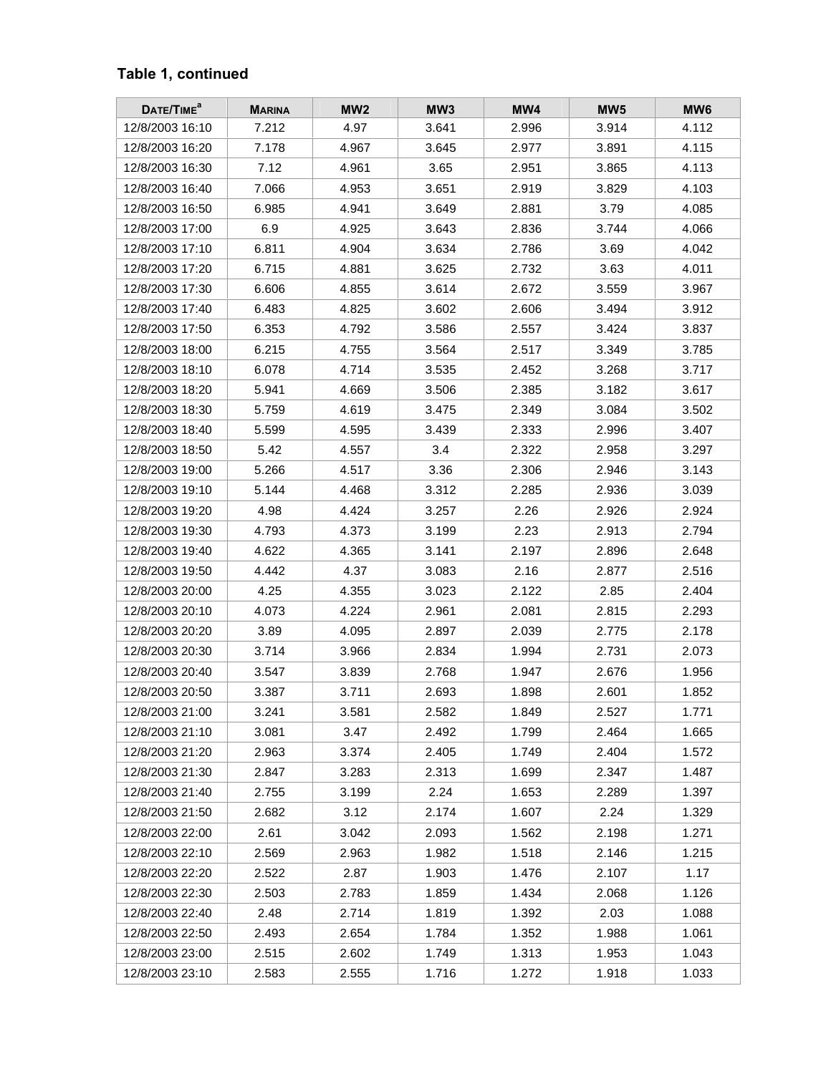### **Table 1, continued**

| DATE/TIME <sup>a</sup> | <b>MARINA</b> | MW <sub>2</sub> | MW <sub>3</sub> | MW4   | MW <sub>5</sub> | MW <sub>6</sub> |
|------------------------|---------------|-----------------|-----------------|-------|-----------------|-----------------|
| 12/8/2003 16:10        | 7.212         | 4.97            | 3.641           | 2.996 | 3.914           | 4.112           |
| 12/8/2003 16:20        | 7.178         | 4.967           | 3.645           | 2.977 | 3.891           | 4.115           |
| 12/8/2003 16:30        | 7.12          | 4.961           | 3.65            | 2.951 | 3.865           | 4.113           |
| 12/8/2003 16:40        | 7.066         | 4.953           | 3.651           | 2.919 | 3.829           | 4.103           |
| 12/8/2003 16:50        | 6.985         | 4.941           | 3.649           | 2.881 | 3.79            | 4.085           |
| 12/8/2003 17:00        | 6.9           | 4.925           | 3.643           | 2.836 | 3.744           | 4.066           |
| 12/8/2003 17:10        | 6.811         | 4.904           | 3.634           | 2.786 | 3.69            | 4.042           |
| 12/8/2003 17:20        | 6.715         | 4.881           | 3.625           | 2.732 | 3.63            | 4.011           |
| 12/8/2003 17:30        | 6.606         | 4.855           | 3.614           | 2.672 | 3.559           | 3.967           |
| 12/8/2003 17:40        | 6.483         | 4.825           | 3.602           | 2.606 | 3.494           | 3.912           |
| 12/8/2003 17:50        | 6.353         | 4.792           | 3.586           | 2.557 | 3.424           | 3.837           |
| 12/8/2003 18:00        | 6.215         | 4.755           | 3.564           | 2.517 | 3.349           | 3.785           |
| 12/8/2003 18:10        | 6.078         | 4.714           | 3.535           | 2.452 | 3.268           | 3.717           |
| 12/8/2003 18:20        | 5.941         | 4.669           | 3.506           | 2.385 | 3.182           | 3.617           |
| 12/8/2003 18:30        | 5.759         | 4.619           | 3.475           | 2.349 | 3.084           | 3.502           |
| 12/8/2003 18:40        | 5.599         | 4.595           | 3.439           | 2.333 | 2.996           | 3.407           |
| 12/8/2003 18:50        | 5.42          | 4.557           | 3.4             | 2.322 | 2.958           | 3.297           |
| 12/8/2003 19:00        | 5.266         | 4.517           | 3.36            | 2.306 | 2.946           | 3.143           |
| 12/8/2003 19:10        | 5.144         | 4.468           | 3.312           | 2.285 | 2.936           | 3.039           |
| 12/8/2003 19:20        | 4.98          | 4.424           | 3.257           | 2.26  | 2.926           | 2.924           |
| 12/8/2003 19:30        | 4.793         | 4.373           | 3.199           | 2.23  | 2.913           | 2.794           |
| 12/8/2003 19:40        | 4.622         | 4.365           | 3.141           | 2.197 | 2.896           | 2.648           |
| 12/8/2003 19:50        | 4.442         | 4.37            | 3.083           | 2.16  | 2.877           | 2.516           |
| 12/8/2003 20:00        | 4.25          | 4.355           | 3.023           | 2.122 | 2.85            | 2.404           |
| 12/8/2003 20:10        | 4.073         | 4.224           | 2.961           | 2.081 | 2.815           | 2.293           |
| 12/8/2003 20:20        | 3.89          | 4.095           | 2.897           | 2.039 | 2.775           | 2.178           |
| 12/8/2003 20:30        | 3.714         | 3.966           | 2.834           | 1.994 | 2.731           | 2.073           |
| 12/8/2003 20:40        | 3.547         | 3.839           | 2.768           | 1.947 | 2.676           | 1.956           |
| 12/8/2003 20:50        | 3.387         | 3.711           | 2.693           | 1.898 | 2.601           | 1.852           |
| 12/8/2003 21:00        | 3.241         | 3.581           | 2.582           | 1.849 | 2.527           | 1.771           |
| 12/8/2003 21:10        | 3.081         | 3.47            | 2.492           | 1.799 | 2.464           | 1.665           |
| 12/8/2003 21:20        | 2.963         | 3.374           | 2.405           | 1.749 | 2.404           | 1.572           |
| 12/8/2003 21:30        | 2.847         | 3.283           | 2.313           | 1.699 | 2.347           | 1.487           |
| 12/8/2003 21:40        | 2.755         | 3.199           | 2.24            | 1.653 | 2.289           | 1.397           |
| 12/8/2003 21:50        | 2.682         | 3.12            | 2.174           | 1.607 | 2.24            | 1.329           |
| 12/8/2003 22:00        | 2.61          | 3.042           | 2.093           | 1.562 | 2.198           | 1.271           |
| 12/8/2003 22:10        | 2.569         | 2.963           | 1.982           | 1.518 | 2.146           | 1.215           |
| 12/8/2003 22:20        | 2.522         | 2.87            | 1.903           | 1.476 | 2.107           | 1.17            |
| 12/8/2003 22:30        | 2.503         | 2.783           | 1.859           | 1.434 | 2.068           | 1.126           |
| 12/8/2003 22:40        | 2.48          | 2.714           | 1.819           | 1.392 | 2.03            | 1.088           |
| 12/8/2003 22:50        | 2.493         | 2.654           | 1.784           | 1.352 | 1.988           | 1.061           |
| 12/8/2003 23:00        | 2.515         | 2.602           | 1.749           | 1.313 | 1.953           | 1.043           |
| 12/8/2003 23:10        | 2.583         | 2.555           | 1.716           | 1.272 | 1.918           | 1.033           |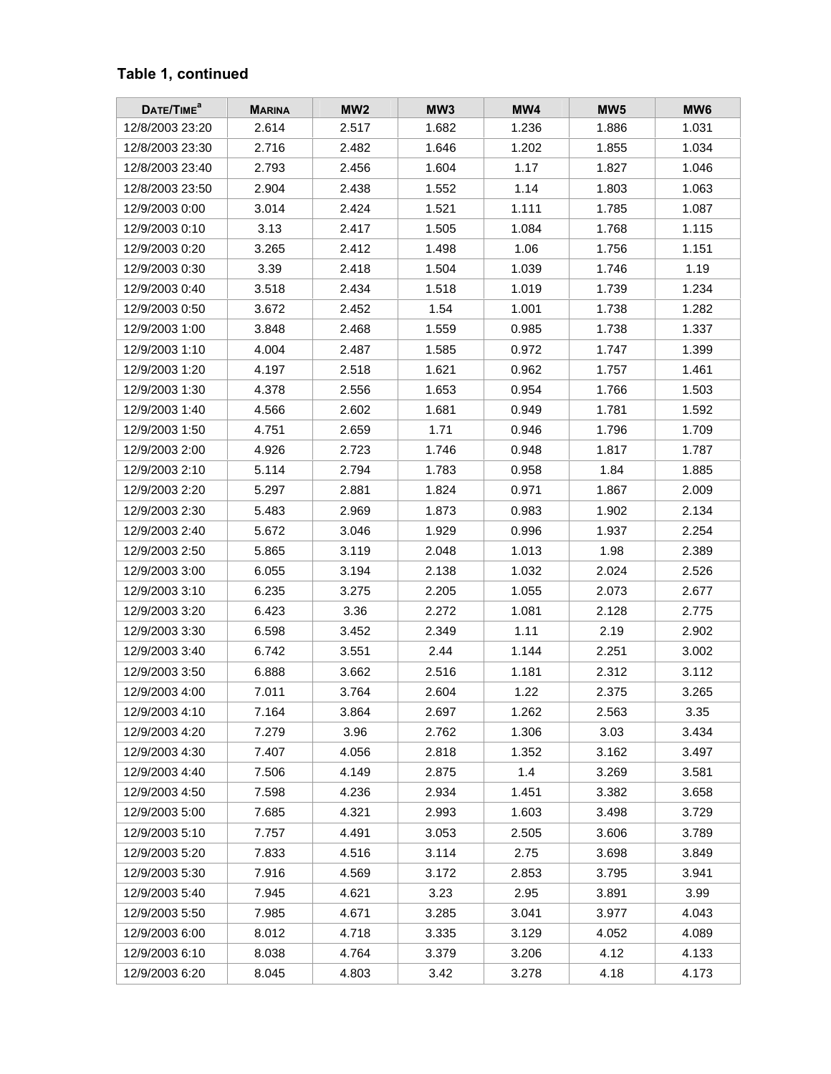### **Table 1, continued**

| DATE/TIME <sup>a</sup> | <b>MARINA</b> | MW <sub>2</sub> | MW <sub>3</sub> | MW4   | MW <sub>5</sub> | MW <sub>6</sub> |
|------------------------|---------------|-----------------|-----------------|-------|-----------------|-----------------|
| 12/8/2003 23:20        | 2.614         | 2.517           | 1.682           | 1.236 | 1.886           | 1.031           |
| 12/8/2003 23:30        | 2.716         | 2.482           | 1.646           | 1.202 | 1.855           | 1.034           |
| 12/8/2003 23:40        | 2.793         | 2.456           | 1.604           | 1.17  | 1.827           | 1.046           |
| 12/8/2003 23:50        | 2.904         | 2.438           | 1.552           | 1.14  | 1.803           | 1.063           |
| 12/9/2003 0:00         | 3.014         | 2.424           | 1.521           | 1.111 | 1.785           | 1.087           |
| 12/9/2003 0:10         | 3.13          | 2.417           | 1.505           | 1.084 | 1.768           | 1.115           |
| 12/9/2003 0:20         | 3.265         | 2.412           | 1.498           | 1.06  | 1.756           | 1.151           |
| 12/9/2003 0:30         | 3.39          | 2.418           | 1.504           | 1.039 | 1.746           | 1.19            |
| 12/9/2003 0:40         | 3.518         | 2.434           | 1.518           | 1.019 | 1.739           | 1.234           |
| 12/9/2003 0:50         | 3.672         | 2.452           | 1.54            | 1.001 | 1.738           | 1.282           |
| 12/9/2003 1:00         | 3.848         | 2.468           | 1.559           | 0.985 | 1.738           | 1.337           |
| 12/9/2003 1:10         | 4.004         | 2.487           | 1.585           | 0.972 | 1.747           | 1.399           |
| 12/9/2003 1:20         | 4.197         | 2.518           | 1.621           | 0.962 | 1.757           | 1.461           |
| 12/9/2003 1:30         | 4.378         | 2.556           | 1.653           | 0.954 | 1.766           | 1.503           |
| 12/9/2003 1:40         | 4.566         | 2.602           | 1.681           | 0.949 | 1.781           | 1.592           |
| 12/9/2003 1:50         | 4.751         | 2.659           | 1.71            | 0.946 | 1.796           | 1.709           |
| 12/9/2003 2:00         | 4.926         | 2.723           | 1.746           | 0.948 | 1.817           | 1.787           |
| 12/9/2003 2:10         | 5.114         | 2.794           | 1.783           | 0.958 | 1.84            | 1.885           |
| 12/9/2003 2:20         | 5.297         | 2.881           | 1.824           | 0.971 | 1.867           | 2.009           |
| 12/9/2003 2:30         | 5.483         | 2.969           | 1.873           | 0.983 | 1.902           | 2.134           |
| 12/9/2003 2:40         | 5.672         | 3.046           | 1.929           | 0.996 | 1.937           | 2.254           |
| 12/9/2003 2:50         | 5.865         | 3.119           | 2.048           | 1.013 | 1.98            | 2.389           |
| 12/9/2003 3:00         | 6.055         | 3.194           | 2.138           | 1.032 | 2.024           | 2.526           |
| 12/9/2003 3:10         | 6.235         | 3.275           | 2.205           | 1.055 | 2.073           | 2.677           |
| 12/9/2003 3:20         | 6.423         | 3.36            | 2.272           | 1.081 | 2.128           | 2.775           |
| 12/9/2003 3:30         | 6.598         | 3.452           | 2.349           | 1.11  | 2.19            | 2.902           |
| 12/9/2003 3:40         | 6.742         | 3.551           | 2.44            | 1.144 | 2.251           | 3.002           |
| 12/9/2003 3:50         | 6.888         | 3.662           | 2.516           | 1.181 | 2.312           | 3.112           |
| 12/9/2003 4:00         | 7.011         | 3.764           | 2.604           | 1.22  | 2.375           | 3.265           |
| 12/9/2003 4:10         | 7.164         | 3.864           | 2.697           | 1.262 | 2.563           | 3.35            |
| 12/9/2003 4:20         | 7.279         | 3.96            | 2.762           | 1.306 | 3.03            | 3.434           |
| 12/9/2003 4:30         | 7.407         | 4.056           | 2.818           | 1.352 | 3.162           | 3.497           |
| 12/9/2003 4:40         | 7.506         | 4.149           | 2.875           | 1.4   | 3.269           | 3.581           |
| 12/9/2003 4:50         | 7.598         | 4.236           | 2.934           | 1.451 | 3.382           | 3.658           |
| 12/9/2003 5:00         | 7.685         | 4.321           | 2.993           | 1.603 | 3.498           | 3.729           |
| 12/9/2003 5:10         | 7.757         | 4.491           | 3.053           | 2.505 | 3.606           | 3.789           |
| 12/9/2003 5:20         | 7.833         | 4.516           | 3.114           | 2.75  | 3.698           | 3.849           |
| 12/9/2003 5:30         | 7.916         | 4.569           | 3.172           | 2.853 | 3.795           | 3.941           |
| 12/9/2003 5:40         | 7.945         | 4.621           | 3.23            | 2.95  | 3.891           | 3.99            |
| 12/9/2003 5:50         | 7.985         | 4.671           | 3.285           | 3.041 | 3.977           | 4.043           |
| 12/9/2003 6:00         | 8.012         | 4.718           | 3.335           | 3.129 | 4.052           | 4.089           |
| 12/9/2003 6:10         | 8.038         | 4.764           | 3.379           | 3.206 | 4.12            | 4.133           |
| 12/9/2003 6:20         | 8.045         | 4.803           | 3.42            | 3.278 | 4.18            | 4.173           |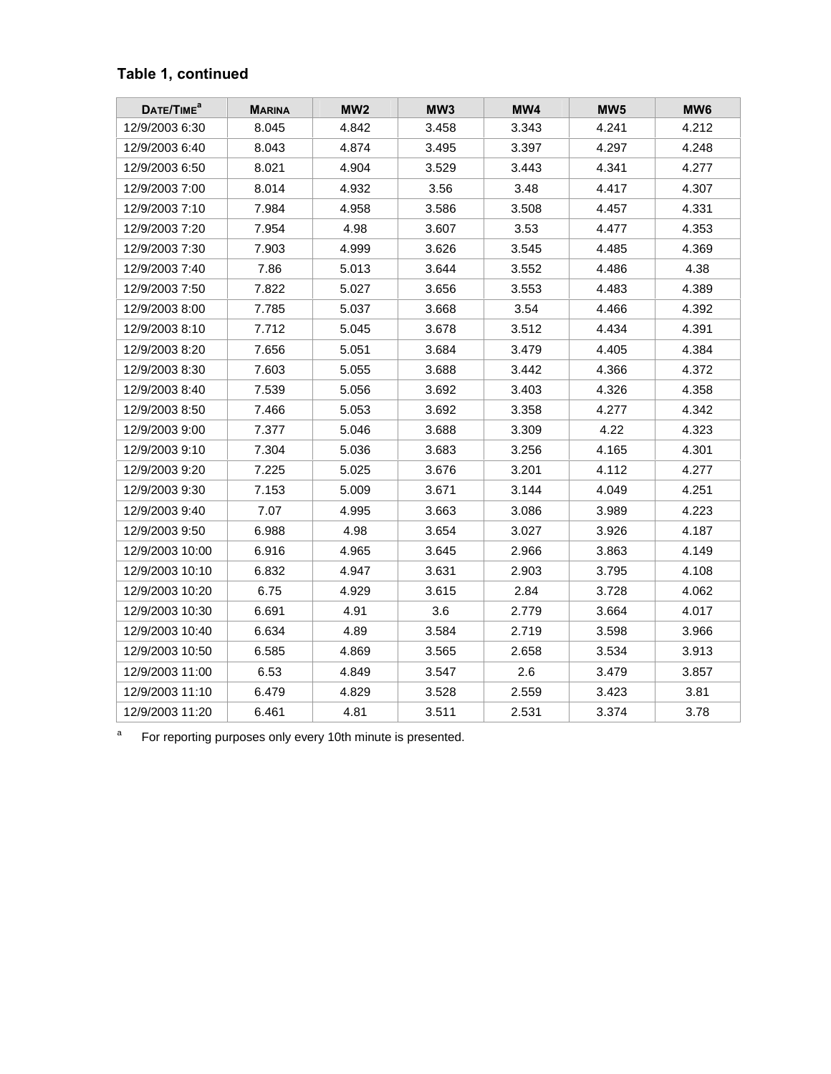### **Table 1, continued**

| DATE/TIME <sup>a</sup> | <b>MARINA</b> | MW <sub>2</sub> | MW3   | MW4   | MW <sub>5</sub> | MW <sub>6</sub> |
|------------------------|---------------|-----------------|-------|-------|-----------------|-----------------|
| 12/9/2003 6:30         | 8.045         | 4.842           | 3.458 | 3.343 | 4.241           | 4.212           |
| 12/9/2003 6:40         | 8.043         | 4.874           | 3.495 | 3.397 | 4.297           | 4.248           |
| 12/9/2003 6:50         | 8.021         | 4.904           | 3.529 | 3.443 | 4.341           | 4.277           |
| 12/9/2003 7:00         | 8.014         | 4.932           | 3.56  | 3.48  | 4.417           | 4.307           |
| 12/9/2003 7:10         | 7.984         | 4.958           | 3.586 | 3.508 | 4.457           | 4.331           |
| 12/9/2003 7:20         | 7.954         | 4.98            | 3.607 | 3.53  | 4.477           | 4.353           |
| 12/9/2003 7:30         | 7.903         | 4.999           | 3.626 | 3.545 | 4.485           | 4.369           |
| 12/9/2003 7:40         | 7.86          | 5.013           | 3.644 | 3.552 | 4.486           | 4.38            |
| 12/9/2003 7:50         | 7.822         | 5.027           | 3.656 | 3.553 | 4.483           | 4.389           |
| 12/9/2003 8:00         | 7.785         | 5.037           | 3.668 | 3.54  | 4.466           | 4.392           |
| 12/9/2003 8:10         | 7.712         | 5.045           | 3.678 | 3.512 | 4.434           | 4.391           |
| 12/9/2003 8:20         | 7.656         | 5.051           | 3.684 | 3.479 | 4.405           | 4.384           |
| 12/9/2003 8:30         | 7.603         | 5.055           | 3.688 | 3.442 | 4.366           | 4.372           |
| 12/9/2003 8:40         | 7.539         | 5.056           | 3.692 | 3.403 | 4.326           | 4.358           |
| 12/9/2003 8:50         | 7.466         | 5.053           | 3.692 | 3.358 | 4.277           | 4.342           |
| 12/9/2003 9:00         | 7.377         | 5.046           | 3.688 | 3.309 | 4.22            | 4.323           |
| 12/9/2003 9:10         | 7.304         | 5.036           | 3.683 | 3.256 | 4.165           | 4.301           |
| 12/9/2003 9:20         | 7.225         | 5.025           | 3.676 | 3.201 | 4.112           | 4.277           |
| 12/9/2003 9:30         | 7.153         | 5.009           | 3.671 | 3.144 | 4.049           | 4.251           |
| 12/9/2003 9:40         | 7.07          | 4.995           | 3.663 | 3.086 | 3.989           | 4.223           |
| 12/9/2003 9:50         | 6.988         | 4.98            | 3.654 | 3.027 | 3.926           | 4.187           |
| 12/9/2003 10:00        | 6.916         | 4.965           | 3.645 | 2.966 | 3.863           | 4.149           |
| 12/9/2003 10:10        | 6.832         | 4.947           | 3.631 | 2.903 | 3.795           | 4.108           |
| 12/9/2003 10:20        | 6.75          | 4.929           | 3.615 | 2.84  | 3.728           | 4.062           |
| 12/9/2003 10:30        | 6.691         | 4.91            | 3.6   | 2.779 | 3.664           | 4.017           |
| 12/9/2003 10:40        | 6.634         | 4.89            | 3.584 | 2.719 | 3.598           | 3.966           |
| 12/9/2003 10:50        | 6.585         | 4.869           | 3.565 | 2.658 | 3.534           | 3.913           |
| 12/9/2003 11:00        | 6.53          | 4.849           | 3.547 | 2.6   | 3.479           | 3.857           |
| 12/9/2003 11:10        | 6.479         | 4.829           | 3.528 | 2.559 | 3.423           | 3.81            |
| 12/9/2003 11:20        | 6.461         | 4.81            | 3.511 | 2.531 | 3.374           | 3.78            |

a For reporting purposes only every 10th minute is presented.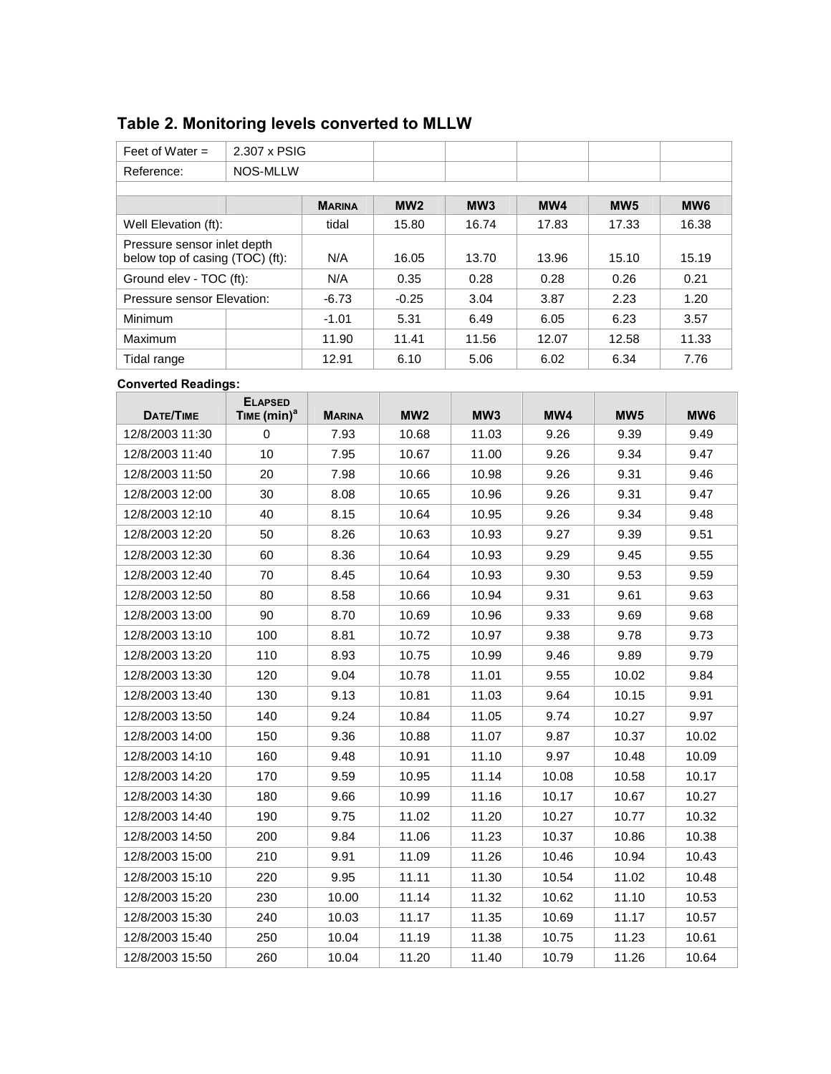# **Table 2. Monitoring levels converted to MLLW**

| Feet of Water $=$                                              | 2.307 x PSIG |               |         |                 |       |                 |                 |
|----------------------------------------------------------------|--------------|---------------|---------|-----------------|-------|-----------------|-----------------|
| Reference:                                                     | NOS-MLLW     |               |         |                 |       |                 |                 |
|                                                                |              |               |         |                 |       |                 |                 |
|                                                                |              | <b>MARINA</b> | MW2     | MW <sub>3</sub> | MW4   | MW <sub>5</sub> | MW <sub>6</sub> |
| Well Elevation (ft):                                           |              | tidal         | 15.80   | 16.74           | 17.83 | 17.33           | 16.38           |
| Pressure sensor inlet depth<br>below top of casing (TOC) (ft): |              | N/A           | 16.05   | 13.70           | 13.96 | 15.10           | 15.19           |
| Ground elev - TOC (ft):                                        |              | N/A           | 0.35    | 0.28            | 0.28  | 0.26            | 0.21            |
| Pressure sensor Elevation:                                     |              | $-6.73$       | $-0.25$ | 3.04            | 3.87  | 2.23            | 1.20            |
| Minimum                                                        |              | $-1.01$       | 5.31    | 6.49            | 6.05  | 6.23            | 3.57            |
| Maximum                                                        |              | 11.90         | 11.41   | 11.56           | 12.07 | 12.58           | 11.33           |
| Tidal range                                                    |              | 12.91         | 6.10    | 5.06            | 6.02  | 6.34            | 7.76            |

#### **Converted Readings:**

| <b>DATE/TIME</b> | <b>ELAPSED</b><br>TIME (min) <sup>a</sup> | <b>MARINA</b> | MW <sub>2</sub> | MW <sub>3</sub> | MW4   | MW <sub>5</sub> | MW <sub>6</sub> |
|------------------|-------------------------------------------|---------------|-----------------|-----------------|-------|-----------------|-----------------|
| 12/8/2003 11:30  | $\Omega$                                  | 7.93          | 10.68           | 11.03           | 9.26  | 9.39            | 9.49            |
| 12/8/2003 11:40  | 10                                        | 7.95          | 10.67           | 11.00           | 9.26  | 9.34            | 9.47            |
| 12/8/2003 11:50  | 20                                        | 7.98          | 10.66           | 10.98           | 9.26  | 9.31            | 9.46            |
| 12/8/2003 12:00  | 30                                        | 8.08          | 10.65           | 10.96           | 9.26  | 9.31            | 9.47            |
| 12/8/2003 12:10  | 40                                        | 8.15          | 10.64           | 10.95           | 9.26  | 9.34            | 9.48            |
| 12/8/2003 12:20  | 50                                        | 8.26          | 10.63           | 10.93           | 9.27  | 9.39            | 9.51            |
| 12/8/2003 12:30  | 60                                        | 8.36          | 10.64           | 10.93           | 9.29  | 9.45            | 9.55            |
| 12/8/2003 12:40  | 70                                        | 8.45          | 10.64           | 10.93           | 9.30  | 9.53            | 9.59            |
| 12/8/2003 12:50  | 80                                        | 8.58          | 10.66           | 10.94           | 9.31  | 9.61            | 9.63            |
| 12/8/2003 13:00  | 90                                        | 8.70          | 10.69           | 10.96           | 9.33  | 9.69            | 9.68            |
| 12/8/2003 13:10  | 100                                       | 8.81          | 10.72           | 10.97           | 9.38  | 9.78            | 9.73            |
| 12/8/2003 13:20  | 110                                       | 8.93          | 10.75           | 10.99           | 9.46  | 9.89            | 9.79            |
| 12/8/2003 13:30  | 120                                       | 9.04          | 10.78           | 11.01           | 9.55  | 10.02           | 9.84            |
| 12/8/2003 13:40  | 130                                       | 9.13          | 10.81           | 11.03           | 9.64  | 10.15           | 9.91            |
| 12/8/2003 13:50  | 140                                       | 9.24          | 10.84           | 11.05           | 9.74  | 10.27           | 9.97            |
| 12/8/2003 14:00  | 150                                       | 9.36          | 10.88           | 11.07           | 9.87  | 10.37           | 10.02           |
| 12/8/2003 14:10  | 160                                       | 9.48          | 10.91           | 11.10           | 9.97  | 10.48           | 10.09           |
| 12/8/2003 14:20  | 170                                       | 9.59          | 10.95           | 11.14           | 10.08 | 10.58           | 10.17           |
| 12/8/2003 14:30  | 180                                       | 9.66          | 10.99           | 11.16           | 10.17 | 10.67           | 10.27           |
| 12/8/2003 14:40  | 190                                       | 9.75          | 11.02           | 11.20           | 10.27 | 10.77           | 10.32           |
| 12/8/2003 14:50  | 200                                       | 9.84          | 11.06           | 11.23           | 10.37 | 10.86           | 10.38           |
| 12/8/2003 15:00  | 210                                       | 9.91          | 11.09           | 11.26           | 10.46 | 10.94           | 10.43           |
| 12/8/2003 15:10  | 220                                       | 9.95          | 11.11           | 11.30           | 10.54 | 11.02           | 10.48           |
| 12/8/2003 15:20  | 230                                       | 10.00         | 11.14           | 11.32           | 10.62 | 11.10           | 10.53           |
| 12/8/2003 15:30  | 240                                       | 10.03         | 11.17           | 11.35           | 10.69 | 11.17           | 10.57           |
| 12/8/2003 15:40  | 250                                       | 10.04         | 11.19           | 11.38           | 10.75 | 11.23           | 10.61           |
| 12/8/2003 15:50  | 260                                       | 10.04         | 11.20           | 11.40           | 10.79 | 11.26           | 10.64           |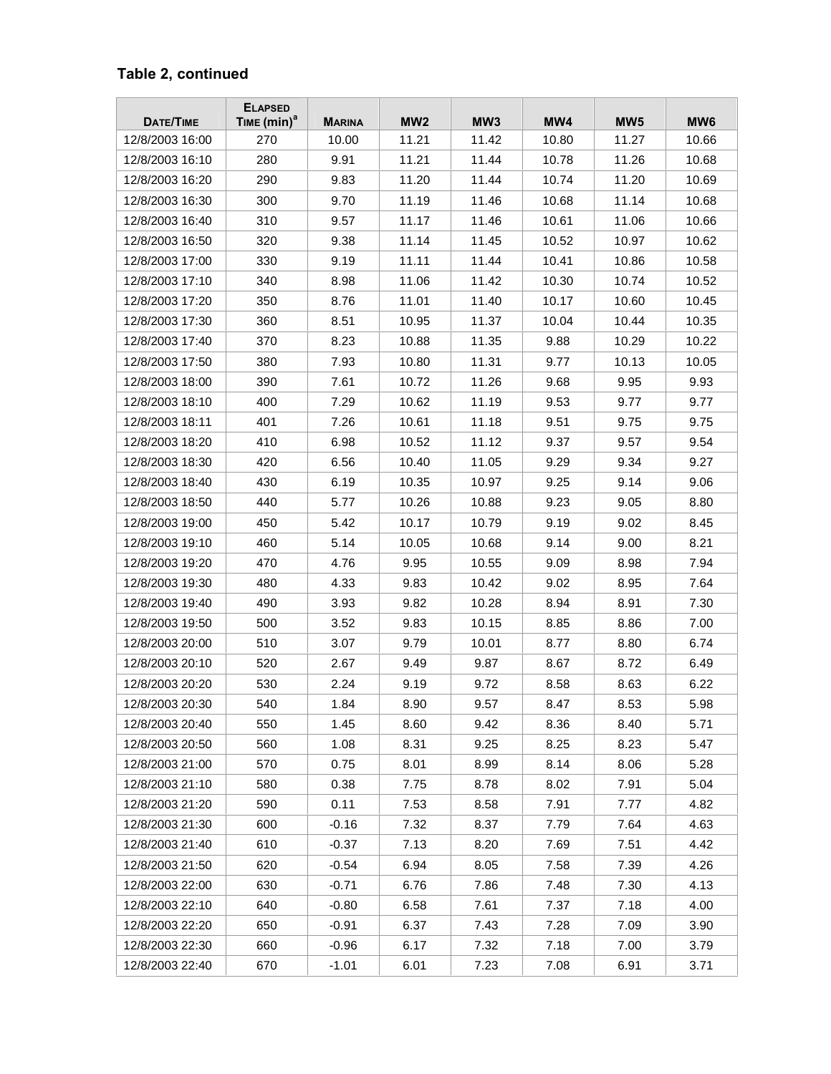| DATE/TIME       | <b>ELAPSED</b><br>TIME $(min)^a$ | <b>MARINA</b> | MW <sub>2</sub> | MW <sub>3</sub> | MW4   | MW <sub>5</sub> | MW <sub>6</sub> |
|-----------------|----------------------------------|---------------|-----------------|-----------------|-------|-----------------|-----------------|
| 12/8/2003 16:00 | 270                              | 10.00         | 11.21           | 11.42           | 10.80 | 11.27           | 10.66           |
| 12/8/2003 16:10 | 280                              | 9.91          | 11.21           | 11.44           | 10.78 | 11.26           | 10.68           |
| 12/8/2003 16:20 | 290                              | 9.83          | 11.20           | 11.44           | 10.74 | 11.20           | 10.69           |
| 12/8/2003 16:30 | 300                              | 9.70          | 11.19           | 11.46           | 10.68 | 11.14           | 10.68           |
| 12/8/2003 16:40 | 310                              | 9.57          | 11.17           | 11.46           | 10.61 | 11.06           | 10.66           |
| 12/8/2003 16:50 | 320                              | 9.38          | 11.14           | 11.45           | 10.52 | 10.97           | 10.62           |
| 12/8/2003 17:00 | 330                              | 9.19          | 11.11           | 11.44           | 10.41 | 10.86           | 10.58           |
| 12/8/2003 17:10 | 340                              | 8.98          | 11.06           | 11.42           | 10.30 | 10.74           | 10.52           |
| 12/8/2003 17:20 | 350                              | 8.76          | 11.01           | 11.40           | 10.17 | 10.60           | 10.45           |
| 12/8/2003 17:30 | 360                              | 8.51          | 10.95           | 11.37           | 10.04 | 10.44           | 10.35           |
| 12/8/2003 17:40 | 370                              | 8.23          | 10.88           | 11.35           | 9.88  | 10.29           | 10.22           |
| 12/8/2003 17:50 | 380                              | 7.93          | 10.80           | 11.31           | 9.77  | 10.13           | 10.05           |
| 12/8/2003 18:00 | 390                              | 7.61          | 10.72           | 11.26           | 9.68  | 9.95            | 9.93            |
| 12/8/2003 18:10 | 400                              | 7.29          | 10.62           | 11.19           | 9.53  | 9.77            | 9.77            |
| 12/8/2003 18:11 | 401                              | 7.26          | 10.61           | 11.18           | 9.51  | 9.75            | 9.75            |
| 12/8/2003 18:20 | 410                              | 6.98          | 10.52           | 11.12           | 9.37  | 9.57            | 9.54            |
| 12/8/2003 18:30 | 420                              | 6.56          | 10.40           | 11.05           | 9.29  | 9.34            | 9.27            |
| 12/8/2003 18:40 | 430                              | 6.19          | 10.35           | 10.97           | 9.25  | 9.14            | 9.06            |
| 12/8/2003 18:50 | 440                              | 5.77          | 10.26           | 10.88           | 9.23  | 9.05            | 8.80            |
| 12/8/2003 19:00 | 450                              | 5.42          | 10.17           | 10.79           | 9.19  | 9.02            | 8.45            |
| 12/8/2003 19:10 | 460                              | 5.14          | 10.05           | 10.68           | 9.14  | 9.00            | 8.21            |
| 12/8/2003 19:20 | 470                              | 4.76          | 9.95            | 10.55           | 9.09  | 8.98            | 7.94            |
| 12/8/2003 19:30 | 480                              | 4.33          | 9.83            | 10.42           | 9.02  | 8.95            | 7.64            |
| 12/8/2003 19:40 | 490                              | 3.93          | 9.82            | 10.28           | 8.94  | 8.91            | 7.30            |
| 12/8/2003 19:50 | 500                              | 3.52          | 9.83            | 10.15           | 8.85  | 8.86            | 7.00            |
| 12/8/2003 20:00 | 510                              | 3.07          | 9.79            | 10.01           | 8.77  | 8.80            | 6.74            |
| 12/8/2003 20:10 | 520                              | 2.67          | 9.49            | 9.87            | 8.67  | 8.72            | 6.49            |
| 12/8/2003 20:20 | 530                              | 2.24          | 9.19            | 9.72            | 8.58  | 8.63            | 6.22            |
| 12/8/2003 20:30 | 540                              | 1.84          | 8.90            | 9.57            | 8.47  | 8.53            | 5.98            |
| 12/8/2003 20:40 | 550                              | 1.45          | 8.60            | 9.42            | 8.36  | 8.40            | 5.71            |
| 12/8/2003 20:50 | 560                              | 1.08          | 8.31            | 9.25            | 8.25  | 8.23            | 5.47            |
| 12/8/2003 21:00 | 570                              | 0.75          | 8.01            | 8.99            | 8.14  | 8.06            | 5.28            |
| 12/8/2003 21:10 | 580                              | 0.38          | 7.75            | 8.78            | 8.02  | 7.91            | 5.04            |
| 12/8/2003 21:20 | 590                              | 0.11          | 7.53            | 8.58            | 7.91  | 7.77            | 4.82            |
| 12/8/2003 21:30 | 600                              | $-0.16$       | 7.32            | 8.37            | 7.79  | 7.64            | 4.63            |
| 12/8/2003 21:40 | 610                              | $-0.37$       | 7.13            | 8.20            | 7.69  | 7.51            | 4.42            |
| 12/8/2003 21:50 | 620                              | $-0.54$       | 6.94            | 8.05            | 7.58  | 7.39            | 4.26            |
| 12/8/2003 22:00 | 630                              | $-0.71$       | 6.76            | 7.86            | 7.48  | 7.30            | 4.13            |
| 12/8/2003 22:10 | 640                              | $-0.80$       | 6.58            | 7.61            | 7.37  | 7.18            | 4.00            |
| 12/8/2003 22:20 | 650                              | $-0.91$       | 6.37            | 7.43            | 7.28  | 7.09            | 3.90            |
| 12/8/2003 22:30 | 660                              | $-0.96$       | 6.17            | 7.32            | 7.18  | 7.00            | 3.79            |
| 12/8/2003 22:40 | 670                              | $-1.01$       | 6.01            | 7.23            | 7.08  | 6.91            | 3.71            |

### **Table 2, continued**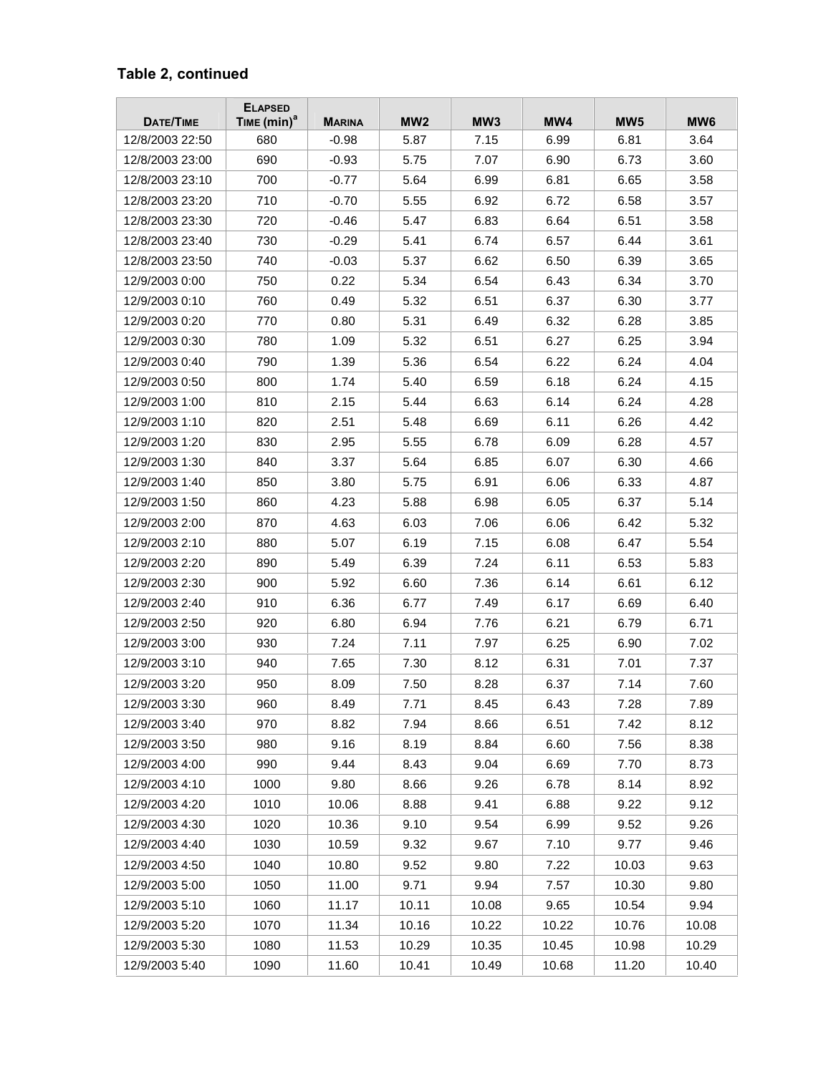| DATE/TIME       | <b>ELAPSED</b><br>TIME $(min)^a$ | <b>MARINA</b> | MW <sub>2</sub> | MW <sub>3</sub> | MW4   | MW <sub>5</sub> | MW <sub>6</sub> |
|-----------------|----------------------------------|---------------|-----------------|-----------------|-------|-----------------|-----------------|
| 12/8/2003 22:50 | 680                              | $-0.98$       | 5.87            | 7.15            | 6.99  | 6.81            | 3.64            |
| 12/8/2003 23:00 | 690                              | $-0.93$       | 5.75            | 7.07            | 6.90  | 6.73            | 3.60            |
| 12/8/2003 23:10 | 700                              | $-0.77$       | 5.64            | 6.99            | 6.81  | 6.65            | 3.58            |
| 12/8/2003 23:20 | 710                              | $-0.70$       | 5.55            | 6.92            | 6.72  | 6.58            | 3.57            |
| 12/8/2003 23:30 | 720                              | $-0.46$       | 5.47            | 6.83            | 6.64  | 6.51            | 3.58            |
| 12/8/2003 23:40 | 730                              | $-0.29$       | 5.41            | 6.74            | 6.57  | 6.44            | 3.61            |
| 12/8/2003 23:50 | 740                              | $-0.03$       | 5.37            | 6.62            | 6.50  | 6.39            | 3.65            |
| 12/9/2003 0:00  | 750                              | 0.22          | 5.34            | 6.54            | 6.43  | 6.34            | 3.70            |
| 12/9/2003 0:10  | 760                              | 0.49          | 5.32            | 6.51            | 6.37  | 6.30            | 3.77            |
| 12/9/2003 0:20  | 770                              | 0.80          | 5.31            | 6.49            | 6.32  | 6.28            | 3.85            |
| 12/9/2003 0:30  | 780                              | 1.09          | 5.32            | 6.51            | 6.27  | 6.25            | 3.94            |
| 12/9/2003 0:40  | 790                              | 1.39          | 5.36            | 6.54            | 6.22  | 6.24            | 4.04            |
| 12/9/2003 0:50  | 800                              | 1.74          | 5.40            | 6.59            | 6.18  | 6.24            | 4.15            |
| 12/9/2003 1:00  | 810                              | 2.15          | 5.44            | 6.63            | 6.14  | 6.24            | 4.28            |
| 12/9/2003 1:10  | 820                              | 2.51          | 5.48            | 6.69            | 6.11  | 6.26            | 4.42            |
| 12/9/2003 1:20  | 830                              | 2.95          | 5.55            | 6.78            | 6.09  | 6.28            | 4.57            |
| 12/9/2003 1:30  | 840                              | 3.37          | 5.64            | 6.85            | 6.07  | 6.30            | 4.66            |
| 12/9/2003 1:40  | 850                              | 3.80          | 5.75            | 6.91            | 6.06  | 6.33            | 4.87            |
| 12/9/2003 1:50  | 860                              | 4.23          | 5.88            | 6.98            | 6.05  | 6.37            | 5.14            |
| 12/9/2003 2:00  | 870                              | 4.63          | 6.03            | 7.06            | 6.06  | 6.42            | 5.32            |
| 12/9/2003 2:10  | 880                              | 5.07          | 6.19            | 7.15            | 6.08  | 6.47            | 5.54            |
| 12/9/2003 2:20  | 890                              | 5.49          | 6.39            | 7.24            | 6.11  | 6.53            | 5.83            |
| 12/9/2003 2:30  | 900                              | 5.92          | 6.60            | 7.36            | 6.14  | 6.61            | 6.12            |
| 12/9/2003 2:40  | 910                              | 6.36          | 6.77            | 7.49            | 6.17  | 6.69            | 6.40            |
| 12/9/2003 2:50  | 920                              | 6.80          | 6.94            | 7.76            | 6.21  | 6.79            | 6.71            |
| 12/9/2003 3:00  | 930                              | 7.24          | 7.11            | 7.97            | 6.25  | 6.90            | 7.02            |
| 12/9/2003 3:10  | 940                              | 7.65          | 7.30            | 8.12            | 6.31  | 7.01            | 7.37            |
| 12/9/2003 3:20  | 950                              | 8.09          | 7.50            | 8.28            | 6.37  | 7.14            | 7.60            |
| 12/9/2003 3:30  | 960                              | 8.49          | 7.71            | 8.45            | 6.43  | 7.28            | 7.89            |
| 12/9/2003 3:40  | 970                              | 8.82          | 7.94            | 8.66            | 6.51  | 7.42            | 8.12            |
| 12/9/2003 3:50  | 980                              | 9.16          | 8.19            | 8.84            | 6.60  | 7.56            | 8.38            |
| 12/9/2003 4:00  | 990                              | 9.44          | 8.43            | 9.04            | 6.69  | 7.70            | 8.73            |
| 12/9/2003 4:10  | 1000                             | 9.80          | 8.66            | 9.26            | 6.78  | 8.14            | 8.92            |
| 12/9/2003 4:20  | 1010                             | 10.06         | 8.88            | 9.41            | 6.88  | 9.22            | 9.12            |
| 12/9/2003 4:30  | 1020                             | 10.36         | 9.10            | 9.54            | 6.99  | 9.52            | 9.26            |
| 12/9/2003 4:40  | 1030                             | 10.59         | 9.32            | 9.67            | 7.10  | 9.77            | 9.46            |
| 12/9/2003 4:50  | 1040                             | 10.80         | 9.52            | 9.80            | 7.22  | 10.03           | 9.63            |
| 12/9/2003 5:00  | 1050                             | 11.00         | 9.71            | 9.94            | 7.57  | 10.30           | 9.80            |
| 12/9/2003 5:10  | 1060                             | 11.17         | 10.11           | 10.08           | 9.65  | 10.54           | 9.94            |
| 12/9/2003 5:20  | 1070                             | 11.34         | 10.16           | 10.22           | 10.22 | 10.76           | 10.08           |
| 12/9/2003 5:30  | 1080                             | 11.53         | 10.29           | 10.35           | 10.45 | 10.98           | 10.29           |
| 12/9/2003 5:40  | 1090                             | 11.60         | 10.41           | 10.49           | 10.68 | 11.20           | 10.40           |

### **Table 2, continued**